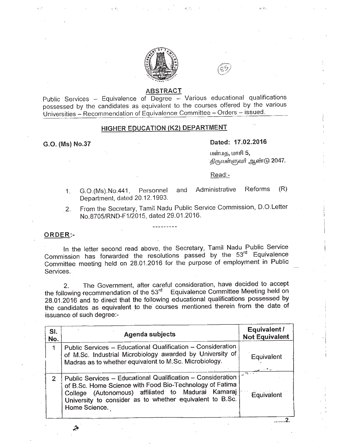



### ABSTRACT

Public Services - Equivalence of Degree - Various educational qualifications possessed by the candidates as equivalent to the courses offered by the various Universities - Recommendation of Equivalence Committee - Orders - issued.

## HIGHER EDUCATION (K2) DEPARTMENT

#### G.O. (Ms) NO.37

### Dated: 17.02.2016

 $\mu$ ன்மத, மாசி 5, .திருவள்ளுவர் ஆண்டு 2047.

'I

. . . . . . . 2.

Read:-

- 1. G.O.(Ms).No.441, Personnel and Administrative Reforms (R) Department, dated 20.12.1993.
- 2. From the Secretary, Tamil Nadu Public Service Commission, D.O.Letter NO.8705/RND-F1/2015, dated 29.01.2016.

### ORDER:-

In the letter second read above, the Secretary, Tamil Nadu Public Service Commission has forwarded the resolutions passed by the *53'd* Equivalence Committee meeting held on 28.01.2016 for the purpose of employment in Public Services.

2. The Government, after careful consideration, have decided to accept the following recommendation of the 53<sup>rd</sup> Equivalence Committee Meeting held on 28.01.2016 and to direct that the following educational qualifications possessed by the candidates as equivalent to the courses mentioned therein from the date of issuance of such degree:-

| SI.<br>No.    | <b>Agenda subjects</b>                                                                                                                                                                                                                                     | Equivalent /<br><b>Not Equivalent</b> |
|---------------|------------------------------------------------------------------------------------------------------------------------------------------------------------------------------------------------------------------------------------------------------------|---------------------------------------|
| $\mathbf{1}$  | Public Services - Educational Qualification - Consideration<br>of M.Sc. Industrial Microbiology awarded by University of<br>Madras as to whether equivalent to M.Sc. Microbiology.                                                                         | Equivalent                            |
| $\mathcal{P}$ | Public Services - Educational Qualification - Consideration<br>of B.Sc. Home Science with Food Bio-Technology of Fatima<br>College (Autonomous) affiliated to Madurai Kamarai<br>University to consider as to whether equivalent to B.Sc.<br>Home Science. | المستعين<br>Equivalent                |